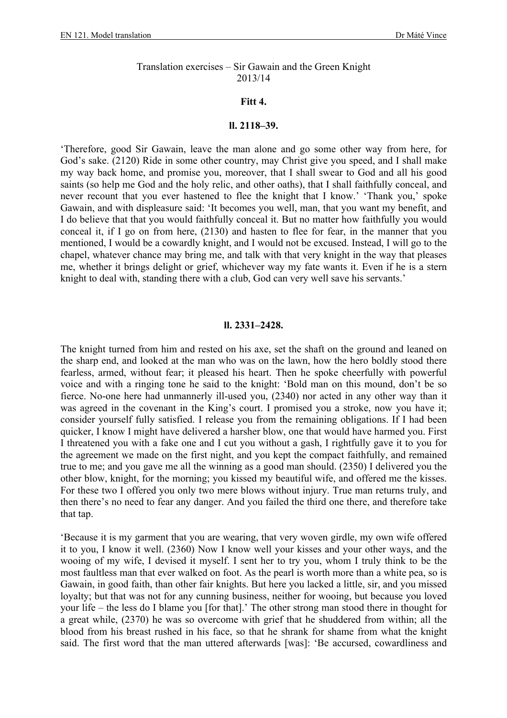## Translation exercises – Sir Gawain and the Green Knight 2013/14

## **Fitt 4.**

## **ll. 2118–39.**

'Therefore, good Sir Gawain, leave the man alone and go some other way from here, for God's sake. (2120) Ride in some other country, may Christ give you speed, and I shall make my way back home, and promise you, moreover, that I shall swear to God and all his good saints (so help me God and the holy relic, and other oaths), that I shall faithfully conceal, and never recount that you ever hastened to flee the knight that I know.' 'Thank you,' spoke Gawain, and with displeasure said: 'It becomes you well, man, that you want my benefit, and I do believe that that you would faithfully conceal it. But no matter how faithfully you would conceal it, if I go on from here, (2130) and hasten to flee for fear, in the manner that you mentioned, I would be a cowardly knight, and I would not be excused. Instead, I will go to the chapel, whatever chance may bring me, and talk with that very knight in the way that pleases me, whether it brings delight or grief, whichever way my fate wants it. Even if he is a stern knight to deal with, standing there with a club, God can very well save his servants.'

## **ll. 2331–2428.**

The knight turned from him and rested on his axe, set the shaft on the ground and leaned on the sharp end, and looked at the man who was on the lawn, how the hero boldly stood there fearless, armed, without fear; it pleased his heart. Then he spoke cheerfully with powerful voice and with a ringing tone he said to the knight: 'Bold man on this mound, don't be so fierce. No-one here had unmannerly ill-used you, (2340) nor acted in any other way than it was agreed in the covenant in the King's court. I promised you a stroke, now you have it; consider yourself fully satisfied. I release you from the remaining obligations. If I had been quicker, I know I might have delivered a harsher blow, one that would have harmed you. First I threatened you with a fake one and I cut you without a gash, I rightfully gave it to you for the agreement we made on the first night, and you kept the compact faithfully, and remained true to me; and you gave me all the winning as a good man should. (2350) I delivered you the other blow, knight, for the morning; you kissed my beautiful wife, and offered me the kisses. For these two I offered you only two mere blows without injury. True man returns truly, and then there's no need to fear any danger. And you failed the third one there, and therefore take that tap.

'Because it is my garment that you are wearing, that very woven girdle, my own wife offered it to you, I know it well. (2360) Now I know well your kisses and your other ways, and the wooing of my wife, I devised it myself. I sent her to try you, whom I truly think to be the most faultless man that ever walked on foot. As the pearl is worth more than a white pea, so is Gawain, in good faith, than other fair knights. But here you lacked a little, sir, and you missed loyalty; but that was not for any cunning business, neither for wooing, but because you loved your life – the less do I blame you [for that].' The other strong man stood there in thought for a great while, (2370) he was so overcome with grief that he shuddered from within; all the blood from his breast rushed in his face, so that he shrank for shame from what the knight said. The first word that the man uttered afterwards [was]: 'Be accursed, cowardliness and